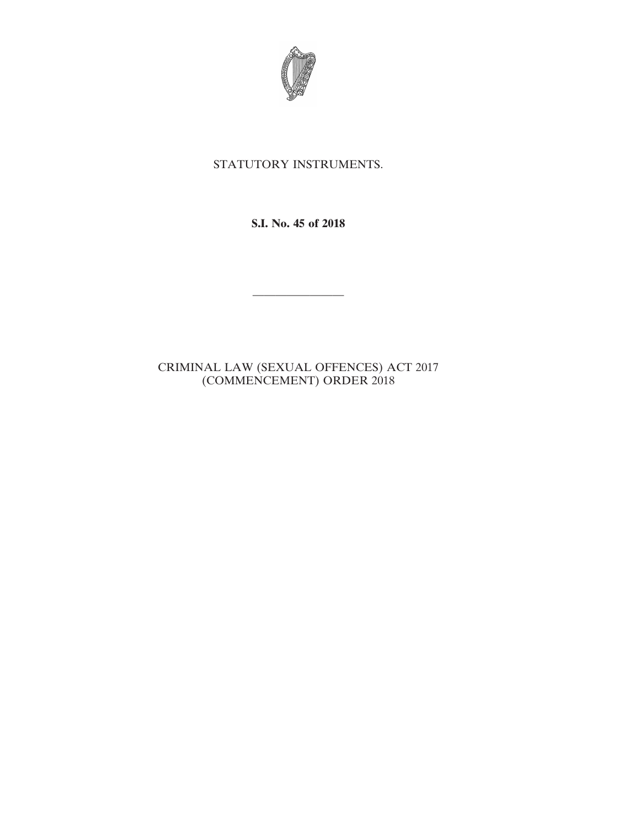

## STATUTORY INSTRUMENTS.

**S.I. No. 45 of 2018**

————————

## CRIMINAL LAW (SEXUAL OFFENCES) ACT 2017 (COMMENCEMENT) ORDER 2018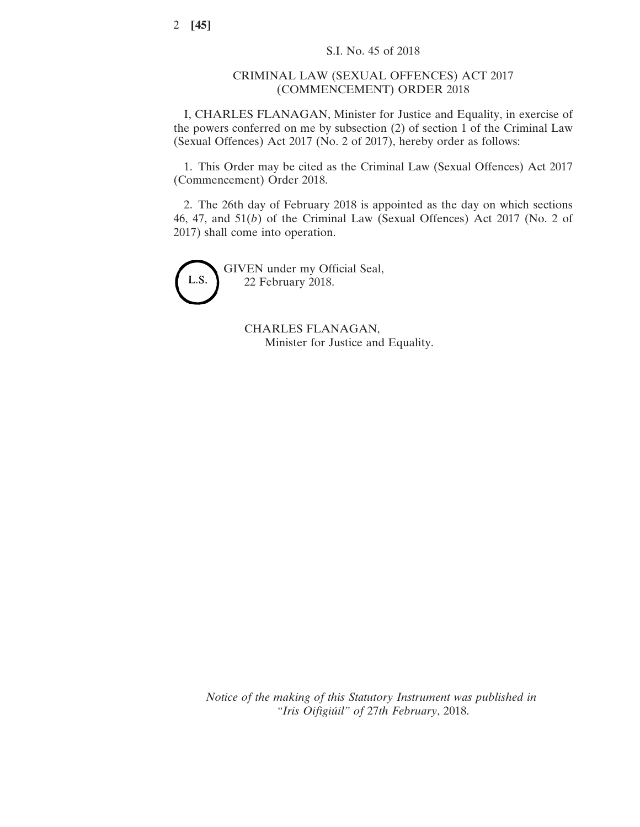## CRIMINAL LAW (SEXUAL OFFENCES) ACT 2017 (COMMENCEMENT) ORDER 2018

I, CHARLES FLANAGAN, Minister for Justice and Equality, in exercise of the powers conferred on me by subsection (2) of section 1 of the Criminal Law (Sexual Offences) Act 2017 (No. 2 of 2017), hereby order as follows:

1. This Order may be cited as the Criminal Law (Sexual Offences) Act 2017 (Commencement) Order 2018.

2. The 26th day of February 2018 is appointed as the day on which sections 46, 47, and 51(*b*) of the Criminal Law (Sexual Offences) Act 2017 (No. 2 of 2017) shall come into operation.



GIVEN under my Official Seal, 22 February 2018.

> CHARLES FLANAGAN, Minister for Justice and Equality.

*Notice of the making of this Statutory Instrument was published in "Iris Oifigiúil" of* 27*th February*, 2018.